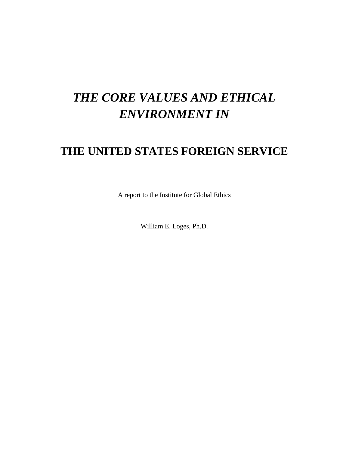# *THE CORE VALUES AND ETHICAL ENVIRONMENT IN*

# **THE UNITED STATES FOREIGN SERVICE**

A report to the Institute for Global Ethics

William E. Loges, Ph.D.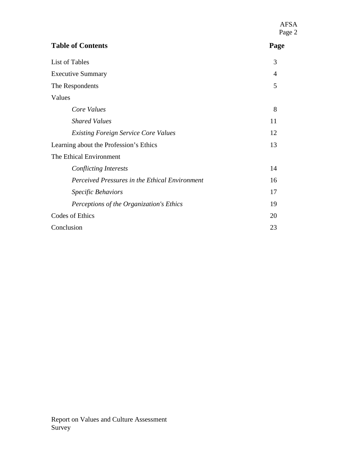|                                                | <b>AFSA</b><br>Page 2 |
|------------------------------------------------|-----------------------|
| <b>Table of Contents</b>                       | Page                  |
| List of Tables                                 | 3                     |
| <b>Executive Summary</b>                       | $\overline{4}$        |
| The Respondents                                | 5                     |
| Values                                         |                       |
| Core Values                                    | 8                     |
| <b>Shared Values</b>                           | 11                    |
| <b>Existing Foreign Service Core Values</b>    | 12                    |
| Learning about the Profession's Ethics         | 13                    |
| The Ethical Environment                        |                       |
| <b>Conflicting Interests</b>                   | 14                    |
| Perceived Pressures in the Ethical Environment | 16                    |
| Specific Behaviors                             | 17                    |
| Perceptions of the Organization's Ethics       | 19                    |
| Codes of Ethics                                | 20                    |
| Conclusion                                     | 23                    |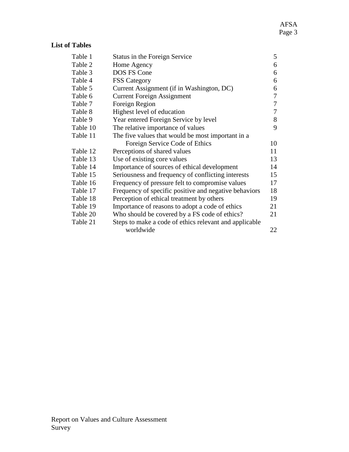#### **List of Tables**

| Table 1  | Status in the Foreign Service                          | 5  |
|----------|--------------------------------------------------------|----|
| Table 2  | Home Agency                                            | 6  |
| Table 3  | DOS FS Cone                                            | 6  |
| Table 4  | <b>FSS Category</b>                                    | 6  |
| Table 5  | Current Assignment (if in Washington, DC)              | 6  |
| Table 6  | <b>Current Foreign Assignment</b>                      | 7  |
| Table 7  | Foreign Region                                         | 7  |
| Table 8  | Highest level of education                             | 7  |
| Table 9  | Year entered Foreign Service by level                  | 8  |
| Table 10 | The relative importance of values                      | 9  |
| Table 11 | The five values that would be most important in a      |    |
|          | Foreign Service Code of Ethics                         | 10 |
| Table 12 | Perceptions of shared values                           | 11 |
| Table 13 | Use of existing core values                            | 13 |
| Table 14 | Importance of sources of ethical development           | 14 |
| Table 15 | Seriousness and frequency of conflicting interests     | 15 |
| Table 16 | Frequency of pressure felt to compromise values        | 17 |
| Table 17 | Frequency of specific positive and negative behaviors  | 18 |
| Table 18 | Perception of ethical treatment by others              | 19 |
| Table 19 | Importance of reasons to adopt a code of ethics        | 21 |
| Table 20 | Who should be covered by a FS code of ethics?          | 21 |
| Table 21 | Steps to make a code of ethics relevant and applicable |    |
|          | worldwide                                              | 22 |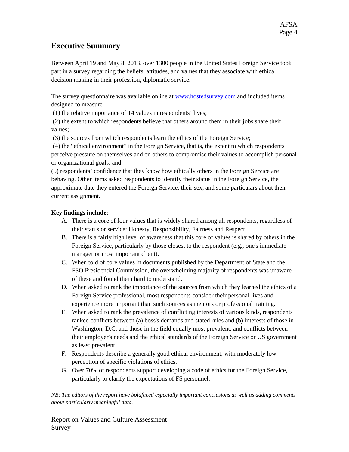#### **Executive Summary**

Between April 19 and May 8, 2013, over 1300 people in the United States Foreign Service took part in a survey regarding the beliefs, attitudes, and values that they associate with ethical decision making in their profession, diplomatic service.

The survey questionnaire was available online at [www.hostedsurvey.com](http://www.hostedsurvey.com/) and included items designed to measure

(1) the relative importance of 14 values in respondents' lives;

(2) the extent to which respondents believe that others around them in their jobs share their values;

(3) the sources from which respondents learn the ethics of the Foreign Service;

(4) the "ethical environment" in the Foreign Service, that is, the extent to which respondents perceive pressure on themselves and on others to compromise their values to accomplish personal or organizational goals; and

(5) respondents' confidence that they know how ethically others in the Foreign Service are behaving. Other items asked respondents to identify their status in the Foreign Service, the approximate date they entered the Foreign Service, their sex, and some particulars about their current assignment.

#### **Key findings include:**

- A. There is a core of four values that is widely shared among all respondents, regardless of their status or service: Honesty, Responsibility, Fairness and Respect.
- B. There is a fairly high level of awareness that this core of values is shared by others in the Foreign Service, particularly by those closest to the respondent (e.g., one's immediate manager or most important client).
- C. When told of core values in documents published by the Department of State and the FSO Presidential Commission, the overwhelming majority of respondents was unaware of these and found them hard to understand.
- D. When asked to rank the importance of the sources from which they learned the ethics of a Foreign Service professional, most respondents consider their personal lives and experience more important than such sources as mentors or professional training.
- E. When asked to rank the prevalence of conflicting interests of various kinds, respondents ranked conflicts between (a) boss's demands and stated rules and (b) interests of those in Washington, D.C. and those in the field equally most prevalent, and conflicts between their employer's needs and the ethical standards of the Foreign Service or US government as least prevalent.
- F. Respondents describe a generally good ethical environment, with moderately low perception of specific violations of ethics.
- G. Over 70% of respondents support developing a code of ethics for the Foreign Service, particularly to clarify the expectations of FS personnel.

*NB: The editors of the report have boldfaced especially important conclusions as well as adding comments about particularly meaningful data.*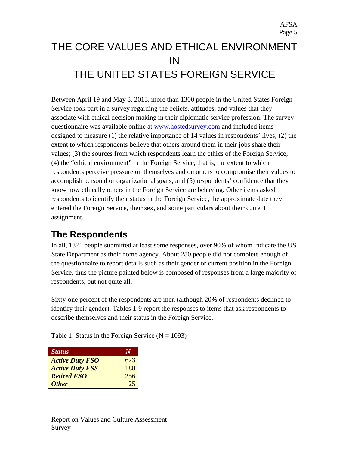# THE CORE VALUES AND ETHICAL ENVIRONMENT IN THE UNITED STATES FOREIGN SERVICE

Between April 19 and May 8, 2013, more than 1300 people in the United States Foreign Service took part in a survey regarding the beliefs, attitudes, and values that they associate with ethical decision making in their diplomatic service profession. The survey questionnaire was available online at [www.hostedsurvey.com](http://www.hostedsurvey.com/) and included items designed to measure (1) the relative importance of 14 values in respondents' lives; (2) the extent to which respondents believe that others around them in their jobs share their values; (3) the sources from which respondents learn the ethics of the Foreign Service; (4) the "ethical environment" in the Foreign Service, that is, the extent to which respondents perceive pressure on themselves and on others to compromise their values to accomplish personal or organizational goals; and (5) respondents' confidence that they know how ethically others in the Foreign Service are behaving. Other items asked respondents to identify their status in the Foreign Service, the approximate date they entered the Foreign Service, their sex, and some particulars about their current assignment.

## **The Respondents**

In all, 1371 people submitted at least some responses, over 90% of whom indicate the US State Department as their home agency. About 280 people did not complete enough of the questionnaire to report details such as their gender or current position in the Foreign Service, thus the picture painted below is composed of responses from a large majority of respondents, but not quite all.

Sixty-one percent of the respondents are men (although 20% of respondents declined to identify their gender). Tables 1-9 report the responses to items that ask respondents to describe themselves and their status in the Foreign Service.

Table 1: Status in the Foreign Service ( $N = 1093$ )

| <b>Status</b>          |     |
|------------------------|-----|
| <b>Active Duty FSO</b> | 623 |
| <b>Active Duty FSS</b> | 188 |
| <b>Retired FSO</b>     | 256 |
| <b>Other</b>           | 25  |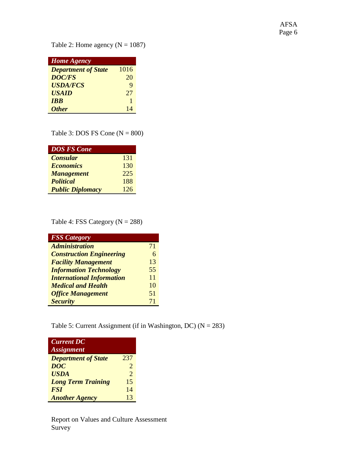AFSA Page 6

Table 2: Home agency  $(N = 1087)$ 

| <b>Home Agency</b>         |      |
|----------------------------|------|
| <b>Department of State</b> | 1016 |
| <b>DOC/FS</b>              | 20   |
| <b>USDA/FCS</b>            | 9    |
| <b>USAID</b>               | 27   |
| <b>IRR</b>                 | 1    |
| <b>Other</b>               | 14   |

Table 3: DOS FS Cone  $(N = 800)$ 

| <b>DOS FS Cone</b>      |     |
|-------------------------|-----|
| <b>Consular</b>         | 131 |
| <b>Economics</b>        | 130 |
| <b>Management</b>       | 225 |
| <b>Political</b>        | 188 |
| <b>Public Diplomacy</b> | 126 |

Table 4: FSS Category  $(N = 288)$ 

| <b>FSS Category</b>              |    |
|----------------------------------|----|
| <b>Administration</b>            | 71 |
| <b>Construction Engineering</b>  | 6  |
| <b>Facility Management</b>       | 13 |
| <b>Information Technology</b>    | 55 |
| <b>International Information</b> | 11 |
| <b>Medical and Health</b>        | 10 |
| <b>Office Management</b>         | 51 |
| <b>Security</b>                  | 71 |

Table 5: Current Assignment (if in Washington, DC) ( $N = 283$ )

| <b>Current DC</b><br><b>Assignment</b> |                       |
|----------------------------------------|-----------------------|
| <b>Department of State</b>             | 237                   |
| <b>DOC</b>                             | $\mathcal{D}_{\cdot}$ |
| <b>USDA</b>                            | $\mathcal{D}_{\cdot}$ |
| <b>Long Term Training</b>              | 15                    |
| <b>FSI</b>                             | 14                    |
| <b>Another Agency</b>                  | 13                    |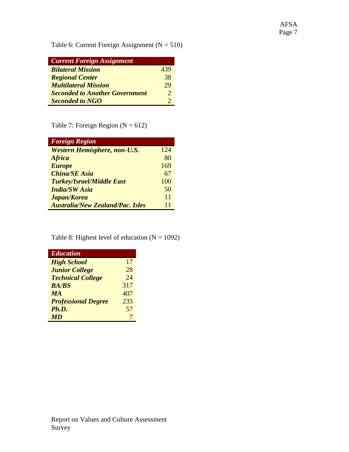Table 6: Current Foreign Assignment ( $N = 510$ )

| <b>Current Foreign Assignment</b>     |     |
|---------------------------------------|-----|
| <b>Bilateral Mission</b>              | 439 |
| <b>Regional Center</b>                | 38  |
| <b>Multilateral Mission</b>           | 29  |
| <b>Seconded to Another Government</b> | 2   |
| <b>Seconded to NGO</b>                |     |

Table 7: Foreign Region  $(N = 612)$ 

| <b>Foreign Region</b>                   |     |
|-----------------------------------------|-----|
| <b>Western Hemisphere, non-U.S.</b>     | 124 |
| <b>Africa</b>                           | 80  |
| <b>Europe</b>                           | 169 |
| <b>China/SE Asia</b>                    | 67  |
| <b>Turkey/Israel/Middle East</b>        | 100 |
| <b>India/SW Asia</b>                    | 50  |
| Japan/Korea                             | 11  |
| <b>Australia/New Zealand/Pac. Isles</b> | 11  |

Table 8: Highest level of education  $(N = 1092)$ 

| <b>Education</b>           |     |
|----------------------------|-----|
| <b>High School</b>         | 17  |
| <b>Junior College</b>      | 28  |
| <b>Technical College</b>   | 24  |
| <b>BA/BS</b>               | 317 |
| <b>MA</b>                  | 407 |
| <b>Professional Degree</b> | 235 |
| Ph.D.                      | 57  |
| <b>MD</b>                  | 7   |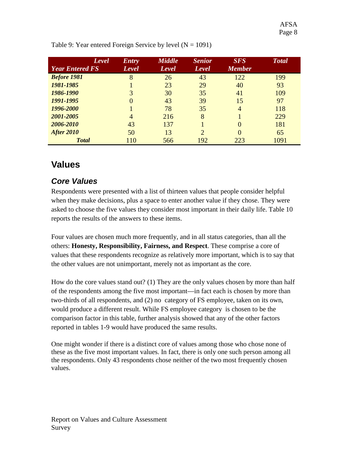| Level<br><b>Year Entered FS</b> | <b>Entry</b><br>Level | <b>Middle</b><br>Level | <b>Senior</b><br>Level      | <b>SFS</b><br><b>Member</b> | <b>Total</b> |
|---------------------------------|-----------------------|------------------------|-----------------------------|-----------------------------|--------------|
| <b>Before 1981</b>              | 8                     | 26                     | 43                          | 122                         | 199          |
| 1981-1985                       |                       | 23                     | 29                          | 40                          | 93           |
| 1986-1990                       | 3                     | 30                     | 35                          | 41                          | 109          |
| 1991-1995                       | 0                     | 43                     | 39                          | 15                          | 97           |
| 1996-2000                       |                       | 78                     | 35                          | $\overline{4}$              | 118          |
| 2001-2005                       | 4                     | 216                    | 8                           |                             | 229          |
| 2006-2010                       | 43                    | 137                    |                             | 0                           | 181          |
| <b>After 2010</b>               | 50                    | 13                     | $\mathcal{D}_{\mathcal{L}}$ |                             | 65           |
| <b>Total</b>                    | 110                   | 566                    | 192                         | 223                         | 1091         |

Table 9: Year entered Foreign Service by level  $(N = 1091)$ 

## **Values**

## *Core Values*

Respondents were presented with a list of thirteen values that people consider helpful when they make decisions, plus a space to enter another value if they chose. They were asked to choose the five values they consider most important in their daily life. Table 10 reports the results of the answers to these items.

Four values are chosen much more frequently, and in all status categories, than all the others: **Honesty, Responsibility, Fairness, and Respect**. These comprise a core of values that these respondents recognize as relatively more important, which is to say that the other values are not unimportant, merely not as important as the core.

How do the core values stand out? (1) They are the only values chosen by more than half of the respondents among the five most important—in fact each is chosen by more than two-thirds of all respondents, and (2) no category of FS employee, taken on its own, would produce a different result. While FS employee category is chosen to be the comparison factor in this table, further analysis showed that any of the other factors reported in tables 1-9 would have produced the same results.

One might wonder if there is a distinct core of values among those who chose none of these as the five most important values. In fact, there is only one such person among all the respondents. Only 43 respondents chose neither of the two most frequently chosen values.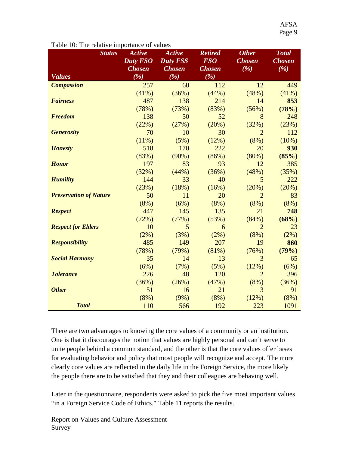| <b>Status</b>                 | <b>Active</b><br><b>Duty FSO</b> | <b>Active</b><br><b>Duty FSS</b> | <b>Retired</b><br><b>FSO</b> | <b>Other</b><br><b>Chosen</b> | <b>Total</b><br><b>Chosen</b> |
|-------------------------------|----------------------------------|----------------------------------|------------------------------|-------------------------------|-------------------------------|
| <b>Values</b>                 | <b>Chosen</b><br>( %)            | <b>Chosen</b><br>(%)             | <b>Chosen</b><br>(%)         | (%)                           | (%)                           |
| <b>Compassion</b>             | 257                              | 68                               | 112                          | 12                            | 449                           |
|                               | (41%)                            | (36%)                            | (44%)                        | (48%)                         | (41%)                         |
| <b>Fairness</b>               | 487                              | 138                              | 214                          | 14                            | 853                           |
|                               | (78%)                            | (73%)                            | (83%)                        | (56%)                         | (78%)                         |
| <b>Freedom</b>                | 138                              | 50                               | 52                           | 8                             | 248                           |
|                               | (22%)                            | (27%)                            | (20%)                        | (32%)                         | (23%)                         |
| <b>Generosity</b>             | 70                               | 10                               | 30                           | $\overline{2}$                | 112                           |
|                               | (11%)                            | (5%)                             | (12%)                        | (8%)                          | (10%)                         |
| <b>Honesty</b>                | 518                              | 170                              | 222                          | 20                            | 930                           |
|                               | (83%)                            | (90%)                            | (86%)                        | (80%)                         | (85%)                         |
| <b>Honor</b>                  | 197                              | 83                               | 93                           | 12                            | 385                           |
|                               | (32%)                            | (44%)                            | (36%)                        | (48%)                         | (35%)                         |
| <b>Humility</b>               | 144                              | 33                               | 40                           | 5                             | 222                           |
|                               | (23%)                            | (18%)                            | (16%)                        | (20%)                         | (20%)                         |
| <b>Preservation of Nature</b> | 50                               | 11                               | 20                           | $\overline{2}$                | 83                            |
|                               | (8%)                             | (6%)                             | (8%)                         | (8%)                          | (8%)                          |
| <b>Respect</b>                | 447                              | 145                              | 135                          | 21                            | 748                           |
|                               | (72%)                            | (77%)                            | (53%)                        | (84%)                         | (68%)                         |
| <b>Respect for Elders</b>     | 10                               | 5                                | 6                            | $\overline{2}$                | 23                            |
|                               | (2%)                             | (3%)                             | (2%)                         | (8%)                          | (2%)                          |
| <b>Responsibility</b>         | 485                              | 149                              | 207                          | 19                            | 860                           |
|                               | (78%)                            | (79%)                            | (81%)                        | (76%)                         | (79%)                         |
| <b>Social Harmony</b>         | 35                               | 14                               | 13                           | 3                             | 65                            |
|                               | (6%)                             | (7%)                             | (5%)                         | (12%)                         | (6%)                          |
| <b>Tolerance</b>              | 226                              | 48                               | 120                          | $\overline{2}$                | 396                           |
|                               | (36%)                            | (26%)                            | (47%)                        | (8%)                          | (36%)                         |
| <b>Other</b>                  | 51                               | 16                               | 21                           | 3                             | 91                            |
|                               | (8%)                             | (9%)                             | (8%)                         | (12%)                         | (8%)                          |
| <b>Total</b>                  | 110                              | 566                              | 192                          | 223                           | 1091                          |

#### Table 10: The relative importance of values

There are two advantages to knowing the core values of a community or an institution. One is that it discourages the notion that values are highly personal and can't serve to unite people behind a common standard, and the other is that the core values offer bases for evaluating behavior and policy that most people will recognize and accept. The more clearly core values are reflected in the daily life in the Foreign Service, the more likely the people there are to be satisfied that they and their colleagues are behaving well.

Later in the questionnaire, respondents were asked to pick the five most important values "in a Foreign Service Code of Ethics." Table 11 reports the results.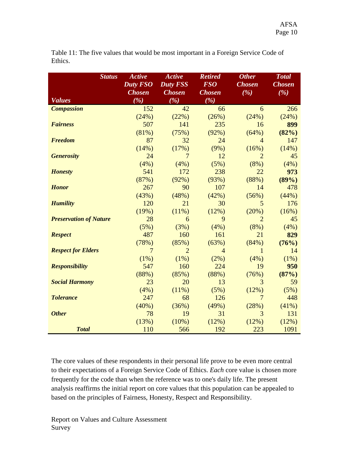| <b>Status</b>                 | <b>Active</b><br>Duty FSO<br><b>Chosen</b> | <b>Active</b><br><b>Duty FSS</b><br><b>Chosen</b> | <b>Retired</b><br><b>FSO</b><br><b>Chosen</b> | <b>Other</b><br><b>Chosen</b><br>(%) | <b>Total</b><br><b>Chosen</b><br>(%) |
|-------------------------------|--------------------------------------------|---------------------------------------------------|-----------------------------------------------|--------------------------------------|--------------------------------------|
| <b>Values</b>                 | ( %)                                       | (%)                                               | (%)                                           |                                      |                                      |
| <b>Compassion</b>             | 152                                        | 42                                                | 66                                            | 6                                    | 266                                  |
|                               | (24%)                                      | (22%)                                             | (26%)                                         | (24%)                                | (24%)                                |
| <b>Fairness</b>               | 507                                        | 141                                               | 235                                           | 16                                   | 899                                  |
|                               | (81%)                                      | (75%)                                             | (92%)                                         | (64%)                                | (82%)                                |
| <b>Freedom</b>                | 87                                         | 32                                                | 24                                            | $\overline{4}$                       | 147                                  |
|                               | (14%)                                      | (17%)                                             | (9%)                                          | (16%)                                | (14%)                                |
| <b>Generosity</b>             | 24                                         | 7                                                 | 12                                            | $\overline{2}$                       | 45                                   |
|                               | (4%)                                       | (4%)                                              | (5%)                                          | (8%)                                 | (4%)                                 |
| <b>Honesty</b>                | 541                                        | 172                                               | 238                                           | 22                                   | 973                                  |
|                               | (87%)                                      | (92%)                                             | (93%)                                         | (88%)                                | (89%)                                |
| <b>Honor</b>                  | 267                                        | 90                                                | 107                                           | 14                                   | 478                                  |
|                               | (43%)                                      | (48%)                                             | (42%)                                         | (56%)                                | (44%)                                |
| <b>Humility</b>               | 120                                        | 21                                                | 30                                            | 5                                    | 176                                  |
|                               | (19%)                                      | (11%)                                             | (12%)                                         | (20%)                                | (16%)                                |
| <b>Preservation of Nature</b> | 28                                         | 6                                                 | 9                                             | $\overline{2}$                       | 45                                   |
|                               | (5%)                                       | (3%)                                              | (4%)                                          | (8%)                                 | (4%)                                 |
| <b>Respect</b>                | 487                                        | 160                                               | 161                                           | 21                                   | 829                                  |
|                               | (78%)                                      | (85%)                                             | (63%)                                         | (84%)                                | (76%)                                |
| <b>Respect for Elders</b>     | 7                                          | $\overline{2}$                                    | $\overline{4}$                                | 1                                    | 14                                   |
|                               | (1%)                                       | (1%)                                              | (2%)                                          | (4%)                                 | (1%)                                 |
| <b>Responsibility</b>         | 547                                        | 160                                               | 224                                           | 19                                   | 950                                  |
|                               | (88%)                                      | (85%)                                             | (88%)                                         | (76%)                                | (87%)                                |
| <b>Social Harmony</b>         | 23                                         | 20                                                | 13                                            | 3                                    | 59                                   |
|                               | (4%)                                       | (11%)                                             | (5%)                                          | (12%)                                | (5%)                                 |
| <b>Tolerance</b>              | 247                                        | 68                                                | 126                                           | 7                                    | 448                                  |
|                               | (40%)                                      | (36%)                                             | (49%)                                         | (28%)                                | (41%)                                |
| <b>Other</b>                  | 78                                         | 19                                                | 31                                            | 3                                    | 131                                  |
|                               | (13%)                                      | (10%)                                             | (12%)                                         | (12%)                                | (12%)                                |
| <b>Total</b>                  | 110                                        | 566                                               | 192                                           | 223                                  | 1091                                 |

Table 11: The five values that would be most important in a Foreign Service Code of Ethics.

The core values of these respondents in their personal life prove to be even more central to their expectations of a Foreign Service Code of Ethics. *Each* core value is chosen more frequently for the code than when the reference was to one's daily life. The present analysis reaffirms the initial report on core values that this population can be appealed to based on the principles of Fairness, Honesty, Respect and Responsibility.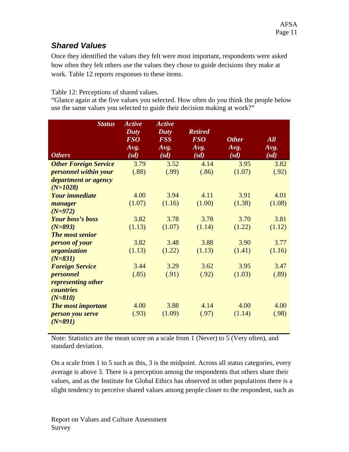#### *Shared Values*

Once they identified the values they felt were most important, respondents were asked how often they felt others use the values they chose to guide decisions they make at work. Table 12 reports responses to these items.

#### Table 12: Perceptions of shared values.

"Glance again at the five values you selected. How often do you think the people below use the same values you selected to guide their decision making at work?"

| <b>Status</b><br><b>Others</b>                | <b>Active</b><br>Duty<br><b>FSO</b><br>Avg.<br>(sd) | <b>Active</b><br>Duty<br><b>FSS</b><br>Avg.<br>(sd) | <b>Retired</b><br><b>FSO</b><br>Avg.<br>(sd) | <b>Other</b><br>Avg.<br>(sd) | <b>All</b><br>Avg.<br>(sd) |
|-----------------------------------------------|-----------------------------------------------------|-----------------------------------------------------|----------------------------------------------|------------------------------|----------------------------|
| <b>Other Foreign Service</b>                  | 3.79                                                | 3.52                                                | 4.14                                         | 3.95                         | 3.82                       |
| personnel within your                         | (.88)                                               | (.99)                                               | (.86)                                        | (1.07)                       | (.92)                      |
| <i>department or agency</i>                   |                                                     |                                                     |                                              |                              |                            |
| $(N=1028)$                                    |                                                     |                                                     |                                              |                              |                            |
| <b>Your immediate</b>                         | 4.00                                                | 3.94                                                | 4.11                                         | 3.91                         | 4.01                       |
| manager<br>$(N=972)$                          | (1.07)                                              | (1.16)                                              | (1.00)                                       | (1.38)                       | (1.08)                     |
| <b>Your boss's boss</b>                       | 3.82                                                | 3.78                                                | 3.78                                         | 3.70                         | 3.81                       |
| $(N=893)$                                     | (1.13)                                              | (1.07)                                              | (1.14)                                       | (1.22)                       | (1.12)                     |
| The most senior                               |                                                     |                                                     |                                              |                              |                            |
| person of your                                | 3.82                                                | 3.48                                                | 3.88                                         | 3.90                         | 3.77                       |
| organization                                  | (1.13)                                              | (1.22)                                              | (1.13)                                       | (1.41)                       | (1.16)                     |
| $(N=831)$                                     |                                                     |                                                     |                                              |                              |                            |
| <b>Foreign Service</b>                        | 3.44                                                | 3.29                                                | 3.62                                         | 3.95                         | 3.47                       |
| personnel                                     | (.85)                                               | (.91)                                               | (.92)                                        | (1.03)                       | (.89)                      |
| representing other<br><b><i>countries</i></b> |                                                     |                                                     |                                              |                              |                            |
| $(N=810)$                                     |                                                     |                                                     |                                              |                              |                            |
| <b>The most important</b>                     | 4.00                                                | 3.88                                                | 4.14                                         | 4.00                         | 4.00                       |
| person you serve<br>$(N=891)$                 | (.93)                                               | (1.09)                                              | (.97)                                        | (1.14)                       | (.98)                      |

Note: Statistics are the mean score on a scale from 1 (Never) to 5 (Very often), and standard deviation.

On a scale from 1 to 5 such as this, 3 is the midpoint. Across all status categories, every average is above 3. There is a perception among the respondents that others share their values, and as the Institute for Global Ethics has observed in other populations there is a slight tendency to perceive shared values among people closer to the respondent, such as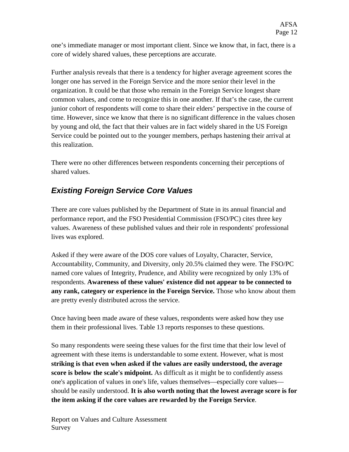one's immediate manager or most important client. Since we know that, in fact, there is a core of widely shared values, these perceptions are accurate.

Further analysis reveals that there is a tendency for higher average agreement scores the longer one has served in the Foreign Service and the more senior their level in the organization. It could be that those who remain in the Foreign Service longest share common values, and come to recognize this in one another. If that's the case, the current junior cohort of respondents will come to share their elders' perspective in the course of time. However, since we know that there is no significant difference in the values chosen by young and old, the fact that their values are in fact widely shared in the US Foreign Service could be pointed out to the younger members, perhaps hastening their arrival at this realization.

There were no other differences between respondents concerning their perceptions of shared values.

## *Existing Foreign Service Core Values*

There are core values published by the Department of State in its annual financial and performance report, and the FSO Presidential Commission (FSO/PC) cites three key values. Awareness of these published values and their role in respondents' professional lives was explored.

Asked if they were aware of the DOS core values of Loyalty, Character, Service, Accountability, Community, and Diversity, only 20.5% claimed they were. The FSO/PC named core values of Integrity, Prudence, and Ability were recognized by only 13% of respondents. **Awareness of these values' existence did not appear to be connected to any rank, category or experience in the Foreign Service.** Those who know about them are pretty evenly distributed across the service.

Once having been made aware of these values, respondents were asked how they use them in their professional lives. Table 13 reports responses to these questions.

So many respondents were seeing these values for the first time that their low level of agreement with these items is understandable to some extent. However, what is most **striking is that even when asked if the values are easily understood, the average score is below the scale's midpoint.** As difficult as it might be to confidently assess one's application of values in one's life, values themselves—especially core values should be easily understood. **It is also worth noting that the lowest average score is for the item asking if the core values are rewarded by the Foreign Service**.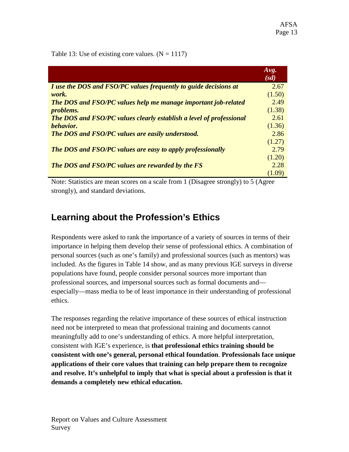Table 13: Use of existing core values.  $(N = 1117)$ 

|                                                                       | Avg.<br>(sd) |
|-----------------------------------------------------------------------|--------------|
| I use the DOS and FSO/PC values frequently to guide decisions at      | 2.67         |
| work.                                                                 | (1.50)       |
| <b>The DOS and FSO/PC values help me manage important job-related</b> | 2.49         |
| problems.                                                             | (1.38)       |
| The DOS and FSO/PC values clearly establish a level of professional   | 2.61         |
| behavior.                                                             | (1.36)       |
| <b>The DOS and FSO/PC values are easily understood.</b>               | 2.86         |
|                                                                       | (1.27)       |
| The DOS and FSO/PC values are easy to apply professionally            | 2.79         |
|                                                                       | (1.20)       |
| <b>The DOS and FSO/PC values are rewarded by the FS</b>               | 2.28         |
|                                                                       |              |

Note: Statistics are mean scores on a scale from 1 (Disagree strongly) to 5 (Agree strongly), and standard deviations.

# **Learning about the Profession's Ethics**

Respondents were asked to rank the importance of a variety of sources in terms of their importance in helping them develop their sense of professional ethics. A combination of personal sources (such as one's family) and professional sources (such as mentors) was included. As the figures in Table 14 show, and as many previous IGE surveys in diverse populations have found, people consider personal sources more important than professional sources, and impersonal sources such as formal documents and especially—mass media to be of least importance in their understanding of professional ethics.

The responses regarding the relative importance of these sources of ethical instruction need not be interpreted to mean that professional training and documents cannot meaningfully add to one's understanding of ethics. A more helpful interpretation, consistent with IGE's experience, is **that professional ethics training should be consistent with one's general, personal ethical foundation**. **Professionals face unique applications of their core values that training can help prepare them to recognize and resolve. It's unhelpful to imply that what is special about a profession is that it demands a completely new ethical education.**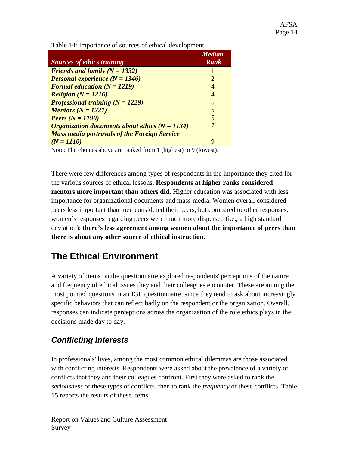Table 14: Importance of sources of ethical development.

| <b>Sources of ethics training</b>                            | <b>Median</b><br><b>Rank</b> |
|--------------------------------------------------------------|------------------------------|
| Friends and family $(N = 1332)$                              |                              |
| <b>Personal experience (N = 1346)</b>                        | $\mathcal{D}_{\cdot}$        |
| Formal education $(N = 1219)$                                | 4                            |
| <b>Religion</b> ( $N = 1216$ )                               | 4                            |
| Professional training $(N = 1229)$                           | 5                            |
| Mentors $(N = 1221)$                                         | 5                            |
| <b>Peers</b> $(N = 1190)$                                    | 5                            |
| <i><b>Organization documents about ethics (N = 1134)</b></i> |                              |
| <b>Mass media portrayals of the Foreign Service</b>          |                              |
| $(N = 1110)$                                                 | Q                            |

Note: The choices above are ranked from 1 (highest) to 9 (lowest).

There were few differences among types of respondents in the importance they cited for the various sources of ethical lessons. **Respondents at higher ranks considered mentors more important than others did.** Higher education was associated with less importance for organizational documents and mass media. Women overall considered peers less important than men considered their peers, but compared to other responses, women's responses regarding peers were much more dispersed (i.e., a high standard deviation); **there's less agreement among women about the importance of peers than there is about any other source of ethical instruction**.

# **The Ethical Environment**

A variety of items on the questionnaire explored respondents' perceptions of the nature and frequency of ethical issues they and their colleagues encounter. These are among the most pointed questions in an IGE questionnaire, since they tend to ask about increasingly specific behaviors that can reflect badly on the respondent or the organization. Overall, responses can indicate perceptions across the organization of the role ethics plays in the decisions made day to day.

## *Conflicting Interests*

In professionals' lives, among the most common ethical dilemmas are those associated with conflicting interests. Respondents were asked about the prevalence of a variety of conflicts that they and their colleagues confront. First they were asked to rank the *seriousness* of these types of conflicts, then to rank the *frequency* of these conflicts. Table 15 reports the results of these items.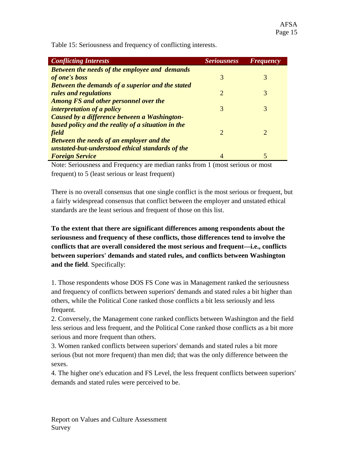*Conflicting Interests Seriousness Frequency Between the needs of the employee and demands*  **of one's boss** 3 3 3 3 3 3 3 3 4  $\sigma$ *Between the demands of a superior and the stated rules and regulations* 2 3 *Among FS and other personnel over the interpretation of a policy* 3 3 3 3 3 3 3 4 3 4  $\sigma$ *Caused by a difference between a Washingtonbased policy and the reality of a situation in the field* 2 2 *Between the needs of an employer and the unstated-but-understood ethical standards of the Foreign Service* 4 5

Table 15: Seriousness and frequency of conflicting interests.

Note: Seriousness and Frequency are median ranks from 1 (most serious or most frequent) to 5 (least serious or least frequent)

There is no overall consensus that one single conflict is the most serious or frequent, but a fairly widespread consensus that conflict between the employer and unstated ethical standards are the least serious and frequent of those on this list.

**To the extent that there are significant differences among respondents about the seriousness and frequency of these conflicts, those differences tend to involve the conflicts that are overall considered the most serious and frequent—i.e., conflicts between superiors' demands and stated rules, and conflicts between Washington and the field**. Specifically:

1. Those respondents whose DOS FS Cone was in Management ranked the seriousness and frequency of conflicts between superiors' demands and stated rules a bit higher than others, while the Political Cone ranked those conflicts a bit less seriously and less frequent.

2. Conversely, the Management cone ranked conflicts between Washington and the field less serious and less frequent, and the Political Cone ranked those conflicts as a bit more serious and more frequent than others.

3. Women ranked conflicts between superiors' demands and stated rules a bit more serious (but not more frequent) than men did; that was the only difference between the sexes.

4. The higher one's education and FS Level, the less frequent conflicts between superiors' demands and stated rules were perceived to be.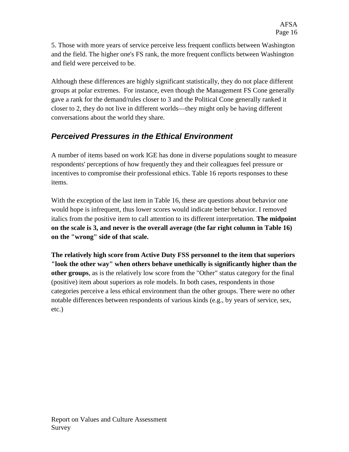5. Those with more years of service perceive less frequent conflicts between Washington and the field. The higher one's FS rank, the more frequent conflicts between Washington and field were perceived to be.

Although these differences are highly significant statistically, they do not place different groups at polar extremes. For instance, even though the Management FS Cone generally gave a rank for the demand/rules closer to 3 and the Political Cone generally ranked it closer to 2, they do not live in different worlds—they might only be having different conversations about the world they share.

### *Perceived Pressures in the Ethical Environment*

A number of items based on work IGE has done in diverse populations sought to measure respondents' perceptions of how frequently they and their colleagues feel pressure or incentives to compromise their professional ethics. Table 16 reports responses to these items.

With the exception of the last item in Table 16, these are questions about behavior one would hope is infrequent, thus lower scores would indicate better behavior. I removed italics from the positive item to call attention to its different interpretation. **The midpoint on the scale is 3, and never is the overall average (the far right column in Table 16) on the "wrong" side of that scale.**

**The relatively high score from Active Duty FSS personnel to the item that superiors "look the other way" when others behave unethically is significantly higher than the other groups**, as is the relatively low score from the "Other" status category for the final (positive) item about superiors as role models. In both cases, respondents in those categories perceive a less ethical environment than the other groups. There were no other notable differences between respondents of various kinds (e.g., by years of service, sex, etc.)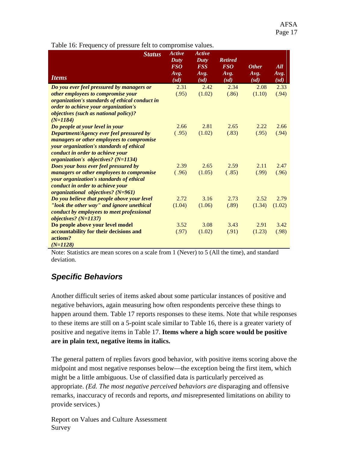*Status Items Active Duty FSO Avg. (sd) Active Duty FSS Avg. (sd) Retired FSO Avg. (sd) Other Avg. (sd) All Avg. (sd) Do you ever feel pressured by managers or other employees to compromise your organization's standards of ethical conduct in order to achieve your organization's objectives (such as national policy)? (N=1184)* 2.31 (.95) 2.42  $(1.02)$ 2.34 (.86) 2.08 (1.10) 2.33 (.94) *Do people at your level in your Department/Agency ever feel pressured by managers or other employees to compromise your organization's standards of ethical conduct in order to achieve your organization's objectives? (N=1134)* 2.66  $(.95)$ 2.81  $(1.02)$ 2.65 (.83) 2.22 (.95) 2.66 (.94) *Does your boss ever feel pressured by managers or other employees to compromise your organization's standards of ethical conduct in order to achieve your organizational objectives? (N=961)* 2.39  $(.96)$ 2.65  $(1.05)$ 2.59  $(.85)$ 2.11 (.99) 2.47 (.96) *Do you believe that people above your level "look the other way" and ignore unethical conduct by employees to meet professional objectives? (N=1137)* 2.72  $(1.04)$ 3.16  $(1.06)$ 2.73 (.89) 2.52 (1.34) (1.02) 2.79 **Do people above your level model accountability for their decisions and actions?** *(N=1128)* 3.52 (.97) 3.08  $(1.02)$ 3.43 (.91) 2.91 (1.23) 3.42 (.98)

Table 16: Frequency of pressure felt to compromise values.

Note: Statistics are mean scores on a scale from 1 (Never) to 5 (All the time), and standard deviation.

#### *Specific Behaviors*

Another difficult series of items asked about some particular instances of positive and negative behaviors, again measuring how often respondents perceive these things to happen around them. Table 17 reports responses to these items. Note that while responses to these items are still on a 5-point scale similar to Table 16, there is a greater variety of positive and negative items in Table 17. **Items where a high score would be positive are in plain text, negative items in italics.**

The general pattern of replies favors good behavior, with positive items scoring above the midpoint and most negative responses below—the exception being the first item, which might be a little ambiguous. Use of classified data is particularly perceived as appropriate. *(Ed. The most negative perceived behaviors are* disparaging and offensive remarks*,* inaccuracy of records and reports*, and* misrepresented limitations on ability to provide services*.*)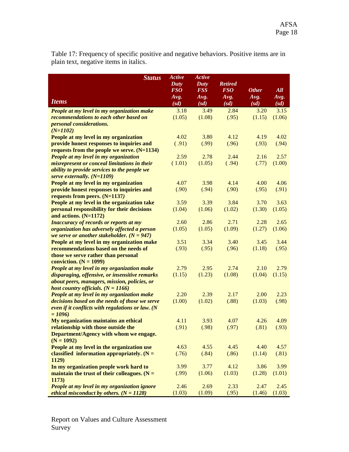Table 17: Frequency of specific positive and negative behaviors. Positive items are in plain text, negative items in italics.

| <b>Status</b>                                                                              | Active       | Active       |                |              |              |
|--------------------------------------------------------------------------------------------|--------------|--------------|----------------|--------------|--------------|
|                                                                                            | Duty         | Duty         | <b>Retired</b> |              |              |
|                                                                                            | <b>FSO</b>   | <b>FSS</b>   | <b>FSO</b>     | <b>Other</b> | All          |
| <b>Items</b>                                                                               | Avg.<br>(sd) | Avg.<br>(sd) | Avg.<br>(sd)   | Avg.<br>(sd) | Avg.<br>(sd) |
| People at my level in my organization make                                                 | 3.18         | 3.49         | 2.84           | 3.20         | 3.15         |
| recommendations to each other based on                                                     | (1.05)       | (1.08)       | (.95)          | (1.15)       | (1.06)       |
| <i>personal considerations.</i>                                                            |              |              |                |              |              |
| $(N=1102)$                                                                                 |              |              |                |              |              |
| People at my level in my organization                                                      | 4.02         | 3.80         | 4.12           | 4.19         | 4.02         |
| provide honest responses to inquiries and                                                  | (.91)        | (.99)        | (.96)          | (.93)        | (.94)        |
| requests from the people we serve. $(N=1134)$                                              |              |              |                |              |              |
| People at my level in my organization                                                      | 2.59         | 2.78         | 2.44           | 2.16         | 2.57         |
| misrepresent or conceal limitations in their                                               | (1.01)       | (1.05)       | (.94)          | (.77)        | (1.00)       |
| ability to provide services to the people we                                               |              |              |                |              |              |
| serve externally. $(N=1109)$                                                               |              |              |                |              |              |
| People at my level in my organization                                                      | 4.07         | 3.98         | 4.14           | 4.00         | 4.06         |
| provide honest responses to inquiries and                                                  | (.90)        | (.94)        | (.90)          | (.95)        | (.91)        |
| requests from peers. (N=1137)                                                              | 3.59         | 3.39         | 3.84           | 3.70         | 3.63         |
| People at my level in the organization take<br>personal responsibility for their decisions | (1.04)       | (1.06)       | (1.02)         | (1.30)       | (1.05)       |
| and actions. (N=1172)                                                                      |              |              |                |              |              |
| <b>Inaccuracy of records or reports at my</b>                                              | 2.60         | 2.86         | 2.71           | 2.28         | 2.65         |
| organization has adversely affected a person                                               | (1.05)       | (1.05)       | (1.09)         | (1.27)       | (1.06)       |
| we serve or another stakeholder. $(N = 947)$                                               |              |              |                |              |              |
| People at my level in my organization make                                                 | 3.51         | 3.34         | 3.40           | 3.45         | 3.44         |
| recommendations based on the needs of                                                      | (.93)        | (.95)        | (.96)          | (1.18)       | (.95)        |
| those we serve rather than personal                                                        |              |              |                |              |              |
| conviction. $(N = 1099)$                                                                   |              |              |                |              |              |
| People at my level in my organization make                                                 | 2.79         | 2.95         | 2.74           | 2.10         | 2.79         |
| disparaging, offensive, or insensitive remarks                                             | (1.15)       | (1.23)       | (1.08)         | (1.04)       | (1.15)       |
| about peers, managers, mission, policies, or                                               |              |              |                |              |              |
| host country officials. $(N = 1166)$                                                       |              |              |                |              |              |
| People at my level in my organization make                                                 | 2.20         | 2.39         | 2.17           | 2.00         | 2.23         |
| decisions based on the needs of those we serve                                             | (1.00)       | (1.02)       | (.88)          | (1.03)       | (.98)        |
| even if it conflicts with regulations or law. $(N)$<br>$= 1096$                            |              |              |                |              |              |
| My organization maintains an ethical                                                       | 4.11         | 3.93         | 4.07           | 4.26         | 4.09         |
| relationship with those outside the                                                        | (.91)        | (.98)        | (.97)          | (.81)        | (.93)        |
| Department/Agency with whom we engage.                                                     |              |              |                |              |              |
| $(N = 1092)$                                                                               |              |              |                |              |              |
| People at my level in the organization use                                                 | 4.63         | 4.55         | 4.45           | 4.40         | 4.57         |
| classified information appropriately. $(N =$                                               | (.76)        | (.84)        | (.86)          | (1.14)       | (.81)        |
| 1129)                                                                                      |              |              |                |              |              |
| In my organization people work hard to                                                     | 3.99         | 3.77         | 4.12           | 3.86         | 3.99         |
| maintain the trust of their colleagues. $(N =$                                             | (.99)        | (1.06)       | (1.03)         | (1.28)       | (1.01)       |
| 1173)                                                                                      |              |              |                |              |              |
| People at my level in my organization ignore                                               | 2.46         | 2.69         | 2.33           | 2.47         | 2.45         |
| ethical misconduct by others. $(N = 1128)$                                                 | (1.03)       | (1.09)       | (.95)          | (1.46)       | (1.03)       |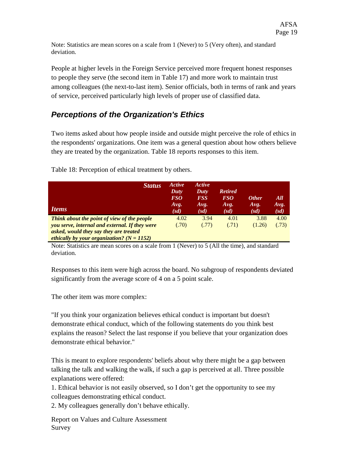Note: Statistics are mean scores on a scale from 1 (Never) to 5 (Very often), and standard deviation.

People at higher levels in the Foreign Service perceived more frequent honest responses to people they serve (the second item in Table 17) and more work to maintain trust among colleagues (the next-to-last item). Senior officials, both in terms of rank and years of service, perceived particularly high levels of proper use of classified data.

### *Perceptions of the Organization's Ethics*

Two items asked about how people inside and outside might perceive the role of ethics in the respondents' organizations. One item was a general question about how others believe they are treated by the organization. Table 18 reports responses to this item.

| <b>Status</b><br><b>Items</b>                  | Active<br>Duty<br>FSO<br>Avg.<br>(sd) | Active<br>Duty<br><b>FSS</b><br>Avg.<br>(sd) | <b>Retired</b><br><i>FSO</i><br>Avg.<br>(sd) | <b>Other</b><br>Avg.<br>(sd) | All<br>Avg.<br>(sd) |
|------------------------------------------------|---------------------------------------|----------------------------------------------|----------------------------------------------|------------------------------|---------------------|
| Think about the point of view of the people    | 4.02                                  | 3.94                                         | 4.01                                         | 3.88                         | 4.00                |
| you serve, internal and external. If they were | (.70)                                 | (.77)                                        | (.71)                                        | (1.26)                       | (.73)               |
| asked, would they say they are treated         |                                       |                                              |                                              |                              |                     |
| ethically by your organization? $(N = 1152)$   |                                       |                                              |                                              |                              |                     |

Table 18: Perception of ethical treatment by others.

Note: Statistics are mean scores on a scale from 1 (Never) to 5 (All the time), and standard deviation.

Responses to this item were high across the board. No subgroup of respondents deviated significantly from the average score of 4 on a 5 point scale.

The other item was more complex:

"If you think your organization believes ethical conduct is important but doesn't demonstrate ethical conduct, which of the following statements do you think best explains the reason? Select the last response if you believe that your organization does demonstrate ethical behavior."

This is meant to explore respondents' beliefs about why there might be a gap between talking the talk and walking the walk, if such a gap is perceived at all. Three possible explanations were offered:

1. Ethical behavior is not easily observed, so I don't get the opportunity to see my colleagues demonstrating ethical conduct.

2. My colleagues generally don't behave ethically.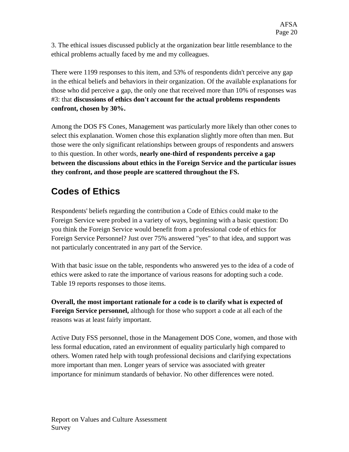3. The ethical issues discussed publicly at the organization bear little resemblance to the ethical problems actually faced by me and my colleagues.

There were 1199 responses to this item, and 53% of respondents didn't perceive any gap in the ethical beliefs and behaviors in their organization. Of the available explanations for those who did perceive a gap, the only one that received more than 10% of responses was #3: that **discussions of ethics don't account for the actual problems respondents confront, chosen by 30%.**

Among the DOS FS Cones, Management was particularly more likely than other cones to select this explanation. Women chose this explanation slightly more often than men. But those were the only significant relationships between groups of respondents and answers to this question. In other words, **nearly one-third of respondents perceive a gap between the discussions about ethics in the Foreign Service and the particular issues they confront, and those people are scattered throughout the FS.**

# **Codes of Ethics**

Respondents' beliefs regarding the contribution a Code of Ethics could make to the Foreign Service were probed in a variety of ways, beginning with a basic question: Do you think the Foreign Service would benefit from a professional code of ethics for Foreign Service Personnel? Just over 75% answered "yes" to that idea, and support was not particularly concentrated in any part of the Service.

With that basic issue on the table, respondents who answered yes to the idea of a code of ethics were asked to rate the importance of various reasons for adopting such a code. Table 19 reports responses to those items.

**Overall, the most important rationale for a code is to clarify what is expected of Foreign Service personnel,** although for those who support a code at all each of the reasons was at least fairly important.

Active Duty FSS personnel, those in the Management DOS Cone, women, and those with less formal education, rated an environment of equality particularly high compared to others. Women rated help with tough professional decisions and clarifying expectations more important than men. Longer years of service was associated with greater importance for minimum standards of behavior. No other differences were noted.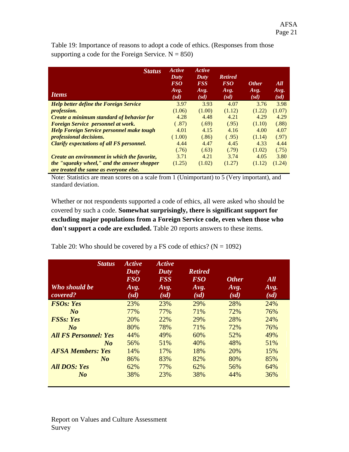| <b>Status</b><br><i><u><b>Items</b></u></i>      | Active<br>Duty<br><i>FSO</i><br>Avg.<br>(sd) | Active<br>Duty<br><b>FSS</b><br>Avg.<br>(sd) | <b>Retired</b><br><b>FSO</b><br>Avg.<br>(sd) | <b>Other</b><br>Avg.<br>(sd) | All<br>Avg.<br>(sd) |
|--------------------------------------------------|----------------------------------------------|----------------------------------------------|----------------------------------------------|------------------------------|---------------------|
| <b>Help better define the Foreign Service</b>    | 3.97                                         | 3.93                                         | 4.07                                         | 3.76                         | 3.98                |
| <i>profession.</i>                               | (1.06)                                       | (1.00)                                       | (1.12)                                       | (1.22)                       | (1.07)              |
| Create a minimum standard of behavior for        | 4.28                                         | 4.48                                         | 4.21                                         | 4.29                         | 4.29                |
| Foreign Service personnel at work.               | (.87)                                        | (.69)                                        | (.95)                                        | (1.10)                       | (.88)               |
| <b>Help Foreign Service personnel make tough</b> | 4.01                                         | 4.15                                         | 4.16                                         | 4.00                         | 4.07                |
| <i>professional decisions.</i>                   | (1.00)                                       | (.86)                                        | (.95)                                        | (1.14)                       | (.97)               |
| <b>Clarify expectations of all FS personnel.</b> | 4.44                                         | 4.47                                         | 4.45                                         | 4.33                         | 4.44                |
|                                                  | (.76)                                        | (.63)                                        | (.79)                                        | (1.02)                       | (.75)               |
| Create an environment in which the favorite,     | 3.71                                         | 4.21                                         | 3.74                                         | 4.05                         | 3.80                |
| the "squeaky wheel," and the answer shopper      | (1.25)                                       | (1.02)                                       | (1.27)                                       | (1.12)                       | (1.24)              |
| are treated the same as everyone else.           |                                              |                                              |                                              |                              |                     |

Table 19: Importance of reasons to adopt a code of ethics. (Responses from those supporting a code for the Foreign Service.  $N = 850$ )

Note: Statistics are mean scores on a scale from 1 (Unimportant) to 5 (Very important), and standard deviation.

Whether or not respondents supported a code of ethics, all were asked who should be covered by such a code. **Somewhat surprisingly, there is significant support for excluding major populations from a Foreign Service code, even when those who don't support a code are excluded.** Table 20 reports answers to these items.

Table 20: Who should be covered by a FS code of ethics?  $(N = 1092)$ 

| <b>Status</b><br>Who should be<br>covered? | <b>Active</b><br>Duty<br><b>FSO</b><br>Avg.<br>(sd) | <b>Active</b><br>Duty<br><b>FSS</b><br>Avg.<br>(sd) | <b>Retired</b><br><b>FSO</b><br>Avg.<br>(sd) | <b>Other</b><br>Avg.<br>(sd) | All<br>Avg.<br>(sd) |
|--------------------------------------------|-----------------------------------------------------|-----------------------------------------------------|----------------------------------------------|------------------------------|---------------------|
| <b>FSOs: Yes</b>                           | 23%                                                 | 23%                                                 | 29%                                          | 28%                          | 24%                 |
| No                                         | 77%                                                 | 77%                                                 | 71%                                          | 72%                          | 76%                 |
| <b>FSSs: Yes</b>                           | 20%                                                 | 22%                                                 | 29%                                          | 28%                          | 24%                 |
| $N_{0}$                                    | 80%                                                 | 78%                                                 | 71%                                          | 72%                          | 76%                 |
| <b>All FS Personnel: Yes</b>               | 44%                                                 | 49%                                                 | 60%                                          | 52%                          | 49%                 |
| $N_{0}$                                    | 56%                                                 | 51%                                                 | 40%                                          | 48%                          | 51%                 |
| <b>AFSA Members: Yes</b>                   | 14%                                                 | 17%                                                 | 18%                                          | 20%                          | 15%                 |
| $N_{0}$                                    | 86%                                                 | 83%                                                 | 82%                                          | 80%                          | 85%                 |
| <b>All DOS: Yes</b>                        | 62%                                                 | 77%                                                 | 62%                                          | 56%                          | 64%                 |
| $N_{0}$                                    | 38%                                                 | 23%                                                 | 38%                                          | 44%                          | 36%                 |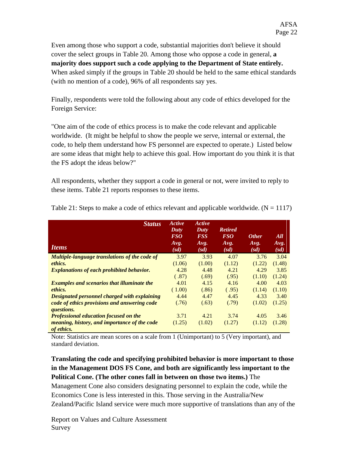Even among those who support a code, substantial majorities don't believe it should cover the select groups in Table 20. Among those who oppose a code in general, **a majority does support such a code applying to the Department of State entirely.**  When asked simply if the groups in Table 20 should be held to the same ethical standards (with no mention of a code), 96% of all respondents say yes.

Finally, respondents were told the following about any code of ethics developed for the Foreign Service:

"One aim of the code of ethics process is to make the code relevant and applicable worldwide. (It might be helpful to show the people we serve, internal or external, the code, to help them understand how FS personnel are expected to operate.) Listed below are some ideas that might help to achieve this goal. How important do you think it is that the FS adopt the ideas below?"

All respondents, whether they support a code in general or not, were invited to reply to these items. Table 21 reports responses to these items.

| <b>Status</b><br><i><u><b>Items</b></u></i>                                     | Active<br>Duty<br><i>FSO</i><br>Avg.<br>(sd) | Active<br>Duty<br><b>FSS</b><br>Avg.<br>(sd) | <b>Retired</b><br><b>FSO</b><br>Avg.<br>(sd) | <b>Other</b><br>Avg.<br>(sd) | All<br>Avg.<br>(sd) |
|---------------------------------------------------------------------------------|----------------------------------------------|----------------------------------------------|----------------------------------------------|------------------------------|---------------------|
| Multiple-language translations of the code of                                   | 3.97                                         | 3.93                                         | 4.07                                         | 3.76                         | 3.04                |
| ethics.                                                                         | (1.06)                                       | (1.00)                                       | (1.12)                                       | (1.22)                       | (1.48)              |
| <b>Explanations of each prohibited behavior.</b>                                | 4.28                                         | 4.48                                         | 4.21                                         | 4.29                         | 3.85                |
|                                                                                 | (.87)                                        | (.69)                                        | (.95)                                        | (1.10)                       | (1.24)              |
| <b>Examples and scenarios that illuminate the</b>                               | 4.01                                         | 4.15                                         | 4.16                                         | 4.00                         | 4.03                |
| ethics.                                                                         | (1.00)                                       | (.86)                                        | (.95)                                        | (1.14)                       | (1.10)              |
| Designated personnel charged with explaining                                    | 4.44                                         | 4.47                                         | 4.45                                         | 4.33                         | 3.40                |
| code of ethics provisions and answering code<br><i><u><b>questions.</b></u></i> | (.76)                                        | (.63)                                        | (.79)                                        | (1.02)                       | (1.25)              |
| <b>Professional education focused on the</b>                                    | 3.71                                         | 4.21                                         | 3.74                                         | 4.05                         | 3.46                |
| meaning, history, and importance of the code<br>of ethics.                      | (1.25)                                       | (1.02)                                       | (1.27)                                       | (1.12)                       | (1.28)              |

Table 21: Steps to make a code of ethics relevant and applicable worldwide.  $(N = 1117)$ 

Note: Statistics are mean scores on a scale from 1 (Unimportant) to 5 (Very important), and standard deviation.

#### **Translating the code and specifying prohibited behavior is more important to those in the Management DOS FS Cone, and both are significantly less important to the Political Cone. (The other cones fall in between on those two items.)** The

Management Cone also considers designating personnel to explain the code, while the Economics Cone is less interested in this. Those serving in the Australia/New Zealand/Pacific Island service were much more supportive of translations than any of the